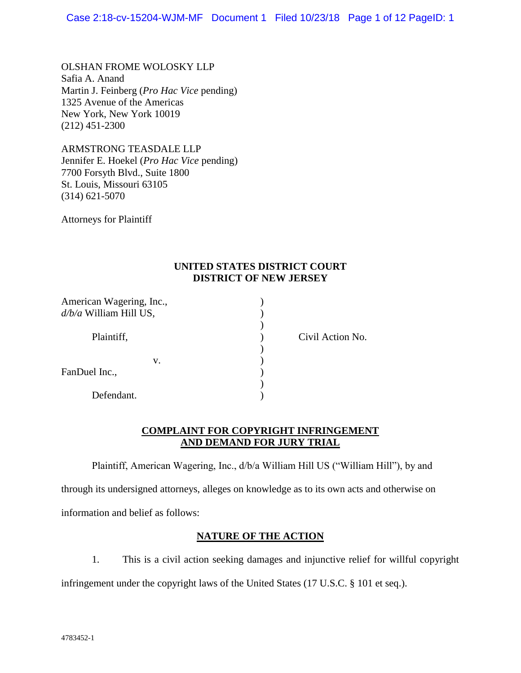OLSHAN FROME WOLOSKY LLP Safia A. Anand Martin J. Feinberg (*Pro Hac Vice* pending) 1325 Avenue of the Americas New York, New York 10019 (212) 451-2300

ARMSTRONG TEASDALE LLP Jennifer E. Hoekel (*Pro Hac Vice* pending) 7700 Forsyth Blvd., Suite 1800 St. Louis, Missouri 63105 (314) 621-5070

Attorneys for Plaintiff

### **UNITED STATES DISTRICT COURT DISTRICT OF NEW JERSEY**

| American Wagering, Inc.,<br>$d/b/a$ William Hill US, |                  |
|------------------------------------------------------|------------------|
| Plaintiff,                                           | Civil Action No. |
| v.<br>FanDuel Inc.,                                  |                  |
| Defendant.                                           |                  |

## **COMPLAINT FOR COPYRIGHT INFRINGEMENT AND DEMAND FOR JURY TRIAL**

Plaintiff, American Wagering, Inc., d/b/a William Hill US ("William Hill"), by and

through its undersigned attorneys, alleges on knowledge as to its own acts and otherwise on information and belief as follows:

# **NATURE OF THE ACTION**

1. This is a civil action seeking damages and injunctive relief for willful copyright infringement under the copyright laws of the United States (17 U.S.C. § 101 et seq.).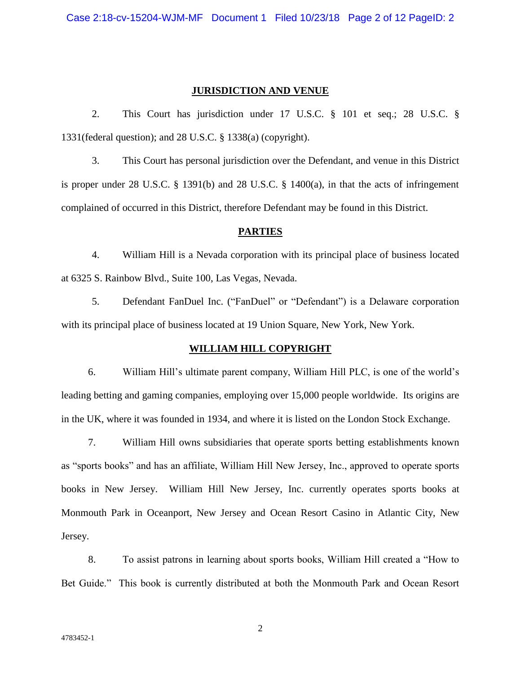#### **JURISDICTION AND VENUE**

2. This Court has jurisdiction under 17 U.S.C. § 101 et seq.; 28 U.S.C. § 1331(federal question); and 28 U.S.C. § 1338(a) (copyright).

3. This Court has personal jurisdiction over the Defendant, and venue in this District is proper under 28 U.S.C. § 1391(b) and 28 U.S.C. § 1400(a), in that the acts of infringement complained of occurred in this District, therefore Defendant may be found in this District.

### **PARTIES**

4. William Hill is a Nevada corporation with its principal place of business located at 6325 S. Rainbow Blvd., Suite 100, Las Vegas, Nevada.

5. Defendant FanDuel Inc. ("FanDuel" or "Defendant") is a Delaware corporation with its principal place of business located at 19 Union Square, New York, New York.

#### **WILLIAM HILL COPYRIGHT**

6. William Hill's ultimate parent company, William Hill PLC, is one of the world's leading betting and gaming companies, employing over 15,000 people worldwide. Its origins are in the UK, where it was founded in 1934, and where it is listed on the London Stock Exchange.

7. William Hill owns subsidiaries that operate sports betting establishments known as "sports books" and has an affiliate, William Hill New Jersey, Inc., approved to operate sports books in New Jersey. William Hill New Jersey, Inc. currently operates sports books at Monmouth Park in Oceanport, New Jersey and Ocean Resort Casino in Atlantic City, New Jersey.

8. To assist patrons in learning about sports books, William Hill created a "How to Bet Guide." This book is currently distributed at both the Monmouth Park and Ocean Resort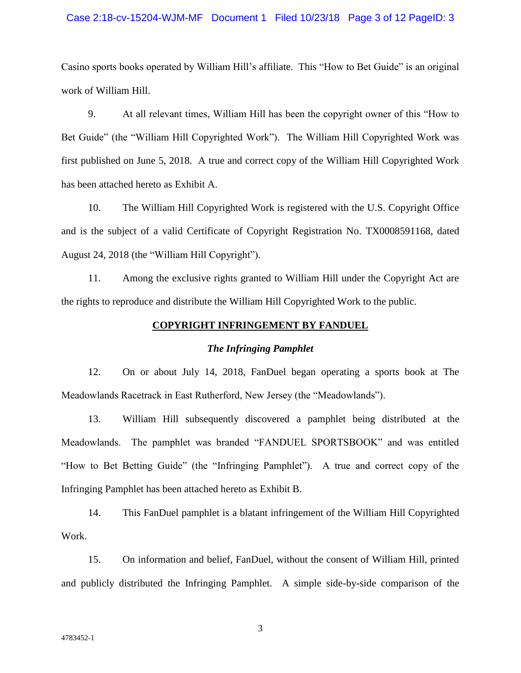#### Case 2:18-cv-15204-WJM-MF Document 1 Filed 10/23/18 Page 3 of 12 PageID: 3

Casino sports books operated by William Hill's affiliate. This "How to Bet Guide" is an original work of William Hill.

9. At all relevant times, William Hill has been the copyright owner of this "How to Bet Guide" (the "William Hill Copyrighted Work"). The William Hill Copyrighted Work was first published on June 5, 2018. A true and correct copy of the William Hill Copyrighted Work has been attached hereto as Exhibit A.

10. The William Hill Copyrighted Work is registered with the U.S. Copyright Office and is the subject of a valid Certificate of Copyright Registration No. TX0008591168, dated August 24, 2018 (the "William Hill Copyright").

11. Among the exclusive rights granted to William Hill under the Copyright Act are the rights to reproduce and distribute the William Hill Copyrighted Work to the public.

#### **COPYRIGHT INFRINGEMENT BY FANDUEL**

#### *The Infringing Pamphlet*

12. On or about July 14, 2018, FanDuel began operating a sports book at The Meadowlands Racetrack in East Rutherford, New Jersey (the "Meadowlands").

13. William Hill subsequently discovered a pamphlet being distributed at the Meadowlands. The pamphlet was branded "FANDUEL SPORTSBOOK" and was entitled "How to Bet Betting Guide" (the "Infringing Pamphlet"). A true and correct copy of the Infringing Pamphlet has been attached hereto as Exhibit B.

14. This FanDuel pamphlet is a blatant infringement of the William Hill Copyrighted Work.

15. On information and belief, FanDuel, without the consent of William Hill, printed and publicly distributed the Infringing Pamphlet. A simple side-by-side comparison of the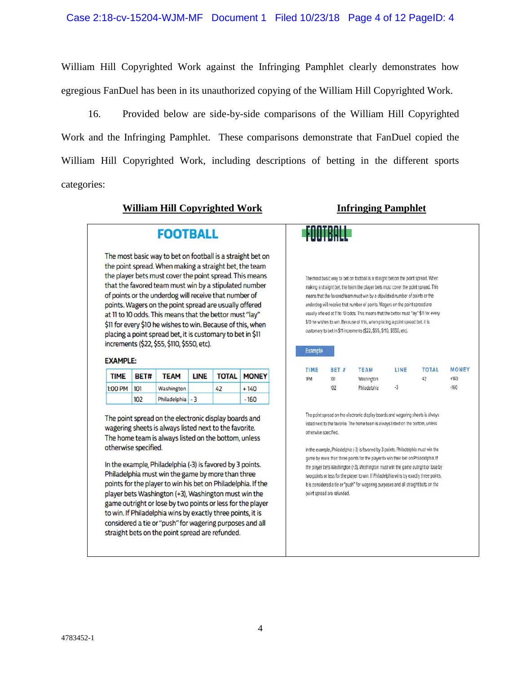William Hill Copyrighted Work against the Infringing Pamphlet clearly demonstrates how egregious FanDuel has been in its unauthorized copying of the William Hill Copyrighted Work.

16. Provided below are side-by-side comparisons of the William Hill Copyrighted Work and the Infringing Pamphlet. These comparisons demonstrate that FanDuel copied the William Hill Copyrighted Work, including descriptions of betting in the different sports categories:

### **William Hill Copyrighted Work Infringing Pamphlet**

# **FOOTBALL**

The most basic way to bet on football is a straight bet on the point spread. When making a straight bet, the team the player bets must cover the point spread. This means that the favored team must win by a stipulated number of points or the underdog will receive that number of points. Wagers on the point spread are usually offered at 11 to 10 odds. This means that the bettor must "lay" \$11 for every \$10 he wishes to win. Because of this, when placing a point spread bet, it is customary to bet in \$11 increments (\$22, \$55, \$110, \$550, etc).

#### **EXAMPLE:**

| <b>TIME</b> | BET# | <b>TEAM</b>      | <b>LINE</b> | <b>TOTAL</b> | <b>MONEY</b> |
|-------------|------|------------------|-------------|--------------|--------------|
| 1:00 PM 101 |      | Washington       |             | 42           | $+140$       |
|             | 102  | Philadelphia - 3 |             |              | $-160$       |

The point spread on the electronic display boards and wagering sheets is always listed next to the favorite. The home team is always listed on the bottom, unless otherwise specified.

In the example, Philadelphia (-3) is favored by 3 points. Philadelphia must win the game by more than three points for the player to win his bet on Philadelphia. If the player bets Washington (+3), Washington must win the game outright or lose by two points or less for the player to win. If Philadelphia wins by exactly three points, it is considered a tie or "push" for wagering purposes and all straight bets on the point spread are refunded.

|                |              | The most basic way to bet on football is a straight bet on the point spread. When      |      |              |              |
|----------------|--------------|----------------------------------------------------------------------------------------|------|--------------|--------------|
|                |              | making a straight bet, the team the player bets must cover the point spread. This      |      |              |              |
|                |              | means that the favored team must win by a stipulated number of points or the           |      |              |              |
|                |              | underdog will receive that number of points. Wagers on the point spread are            |      |              |              |
|                |              | usually offered at 11 to 10 odds. This means that the bettor must "lay" \$11 for every |      |              |              |
|                |              | \$10 he wishes to win. Because of this, when placing a point spread bet, it is         |      |              |              |
|                |              | customary to bet in \$11 increments (\$22, \$55, \$110, \$550, etc).                   |      |              |              |
|                |              |                                                                                        |      |              |              |
|                |              |                                                                                        |      |              |              |
| <b>Example</b> |              |                                                                                        |      |              |              |
| TIME           | <b>BET #</b> | <b>TEAM</b>                                                                            | LINE | <b>TOTAL</b> | <b>MONEY</b> |
| "PM            | 101          | Washington                                                                             |      | 42           | $+140$       |
|                | 102          | Philadelphia                                                                           | $-3$ |              | $-160$       |
|                |              |                                                                                        |      |              |              |
|                |              |                                                                                        |      |              |              |
|                |              | The point spread on the electronic display boards and wagering sheets is always        |      |              |              |
|                |              | listed next to the favorite. The home team is always listed on the bottom, unless      |      |              |              |

game by more than three points for the player to win their bet on Philadelphia. If the player bets Washington (+3), Washington must win the game outright or lose by two points or less for the player to win. If Philadelphia wins by exactly three points, it is considered a tie or "push" for wagering purposes and all straight bets on the point spread are refunded.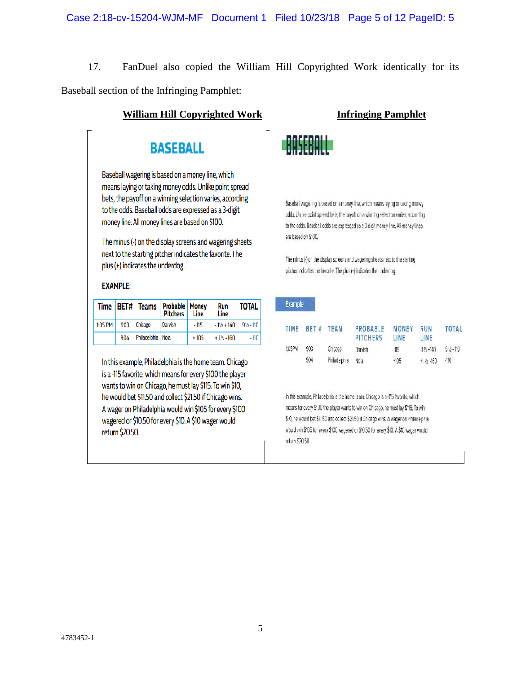17. FanDuel also copied the William Hill Copyrighted Work identically for its Baseball section of the Infringing Pamphlet:

# **William Hill Copyrighted Work Infringing Pamphlet**

# **BASEBALL**

Baseball wagering is based on a money line, which means laying or taking money odds. Unlike point spread bets, the payoff on a winning selection varies, according to the odds. Baseball odds are expressed as a 3-digit money line. All money lines are based on \$100.

The minus (-) on the display screens and wagering sheets next to the starting pitcher indicates the favorite. The plus (+) indicates the underdog.

### **EXAMPLE:**

| Time    | BET# | <b>Teams</b>      | <b>Probable   Money</b><br><b>Pitchers</b> | Line   | Run<br>Line                            | <b>TOTAL</b>         |
|---------|------|-------------------|--------------------------------------------|--------|----------------------------------------|----------------------|
| 1:05 PM | 903  | Chicago           | Darvish                                    | $-115$ | $-1$ <sup>1</sup> / <sub>2</sub> + 140 | $9\frac{1}{2}$ - 110 |
|         | 904  | Philadelphia Nola |                                            | $+105$ | $+1\frac{1}{2} - 160$                  | $-110$               |

In this example, Philadelphia is the home team. Chicago is a -115 favorite, which means for every \$100 the player wants to win on Chicago, he must lay \$115. To win \$10, he would bet \$11.50 and collect \$21.50 if Chicago wins. A wager on Philadelphia would win \$105 for every \$100 wagered or \$10.50 for every \$10. A \$10 wager would return \$20.50.



**Example** 

Baseball wagering is based on a money line, which means laying or taking money odds. Unlike point spread bets, the payoff on a winning selection varies, according to the odds. Baseball odds are expressed as a 3-digit money line. All money lines are based on \$100.

The minus (-) on the display screens and wagering sheets next to the starting pitcher indicates the favorite. The plus (+) indicates the underdog.

| TIME   | BET # | <b>TEAM</b>  | <b>PROBABLE</b><br><b>PITCHERS</b> | <b>MONEY</b><br>LINE | RUN<br>LINE           | <b>TOTAL</b>         |
|--------|-------|--------------|------------------------------------|----------------------|-----------------------|----------------------|
| 1:05PM | 903   | Chicago      | Darvish                            | $-115$               | $-1\frac{1}{2} + 140$ | $9\frac{1}{2} - 110$ |
|        | 904   | Philadelphia | Nola                               | $+105$               | $+1\% -160$           | -110                 |

In this example, Philadelphia is the home team. Chicago is a -115 favorite, which means for every \$100 the player wants to win on Chicago, he must lay \$115. To win \$10, he would bet \$11.50 and collect \$21.50 if Chicago wins. A wager on Philadelphia would win \$105 for every \$100 wagered or \$10.50 for every \$10. A \$10 wager would return \$20.50.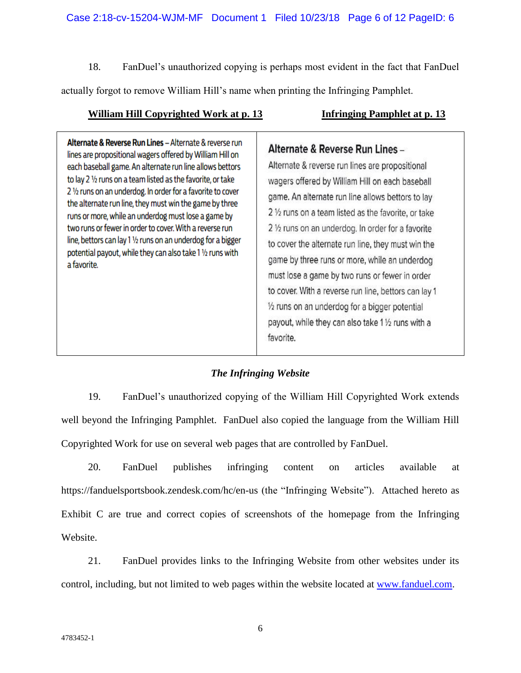18. FanDuel's unauthorized copying is perhaps most evident in the fact that FanDuel actually forgot to remove William Hill's name when printing the Infringing Pamphlet.

# **William Hill Copyrighted Work at p. 13 Infringing Pamphlet at p. 13**

Alternate & Reverse Run Lines - Alternate & reverse run lines are propositional wagers offered by William Hill on each baseball game. An alternate run line allows bettors to lay 2 1/2 runs on a team listed as the favorite, or take 2 1/2 runs on an underdog. In order for a favorite to cover the alternate run line, they must win the game by three runs or more, while an underdog must lose a game by two runs or fewer in order to cover. With a reverse run line, bettors can lay 1 1/2 runs on an underdog for a bigger potential payout, while they can also take 1 1/2 runs with a favorite.

# Alternate & Reverse Run Lines -

Alternate & reverse run lines are propositional wagers offered by William Hill on each baseball game. An alternate run line allows bettors to lay 2 1/2 runs on a team listed as the favorite, or take 2 1/2 runs on an underdog. In order for a favorite to cover the alternate run line, they must win the game by three runs or more, while an underdog must lose a game by two runs or fewer in order to cover. With a reverse run line, bettors can lay 1  $\frac{1}{2}$  runs on an underdog for a bigger potential payout, while they can also take 1 1/2 runs with a favorite.

# *The Infringing Website*

19. FanDuel's unauthorized copying of the William Hill Copyrighted Work extends well beyond the Infringing Pamphlet. FanDuel also copied the language from the William Hill Copyrighted Work for use on several web pages that are controlled by FanDuel.

20. FanDuel publishes infringing content on articles available at https://fanduelsportsbook.zendesk.com/hc/en-us (the "Infringing Website"). Attached hereto as Exhibit C are true and correct copies of screenshots of the homepage from the Infringing Website.

21. FanDuel provides links to the Infringing Website from other websites under its control, including, but not limited to web pages within the website located at [www.fanduel.com.](http://www.fanduel.com/)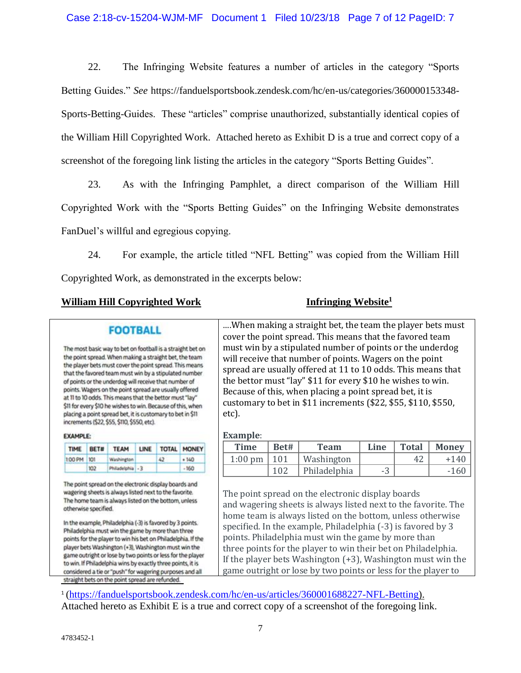22. The Infringing Website features a number of articles in the category "Sports Betting Guides." *See* https://fanduelsportsbook.zendesk.com/hc/en-us/categories/360000153348- Sports-Betting-Guides. These "articles" comprise unauthorized, substantially identical copies of the William Hill Copyrighted Work. Attached hereto as Exhibit D is a true and correct copy of a screenshot of the foregoing link listing the articles in the category "Sports Betting Guides".

23. As with the Infringing Pamphlet, a direct comparison of the William Hill Copyrighted Work with the "Sports Betting Guides" on the Infringing Website demonstrates FanDuel's willful and egregious copying.

24. For example, the article titled "NFL Betting" was copied from the William Hill Copyrighted Work, as demonstrated in the excerpts below:

# **William Hill Copyrighted Work Infringing Website<sup>1</sup>**

# **FOOTBALL**

The most basic way to bet on football is a straight bet on the point spread. When making a straight bet, the team the player bets must cover the point spread. This means that the favored team must win by a stipulated number of points or the underdog will receive that number of points. Wagers on the point spread are usually offered at 11 to 10 odds. This means that the bettor must "lay" \$11 for every \$10 he wishes to win. Because of this, when placing a point spread bet, it is customary to bet in \$11 increments (\$22, \$55, \$110, \$550, etc).

#### **EXAMPLE:**

| <b>TIME</b> | BET# | <b>TEAM</b>      | LINE   TOTAL   MONEY |        |
|-------------|------|------------------|----------------------|--------|
| 1:00 PM 101 |      | Washington       | 42                   | $+140$ |
|             | 102  | Philadelphia - 3 |                      | $-160$ |

The point spread on the electronic display boards and wagering sheets is always listed next to the favorite. The home team is always listed on the bottom, unless otherwise specified.

In the example, Philadelphia (-3) is favored by 3 points. Philadelphia must win the game by more than three points for the player to win his bet on Philadelphia. If the player bets Washington (+3), Washington must win the game outright or lose by two points or less for the player to win. If Philadelphia wins by exactly three points, it is considered a tie or "push" for wagering purposes and all straight bets on the point spread are refunded.

….When making a straight bet, the team the player bets must cover the point spread. This means that the favored team must win by a stipulated number of points or the underdog will receive that number of points. Wagers on the point spread are usually offered at 11 to 10 odds. This means that the bettor must "lay" \$11 for every \$10 he wishes to win. Because of this, when placing a point spread bet, it is customary to bet in \$11 increments (\$22, \$55, \$110, \$550, etc).

#### **Example**:

| <b>Time</b> | Bet# | <b>Team</b>  | Line | <b>Total</b> | <b>Money</b> |
|-------------|------|--------------|------|--------------|--------------|
| $1:00$ pm   | 101  | Washington   |      | 42           | $+140$       |
|             | 102  | Philadelphia | -3   |              | $-160$       |

The point spread on the electronic display boards and wagering sheets is always listed next to the favorite. The home team is always listed on the bottom, unless otherwise specified. In the example, Philadelphia (-3) is favored by 3 points. Philadelphia must win the game by more than three points for the player to win their bet on Philadelphia. If the player bets Washington (+3), Washington must win the game outright or lose by two points or less for the player to

<sup>1</sup>[\(https://fanduelsportsbook.zendesk.com/hc/en-us/articles/360001688227-NFL-Betting\)](https://fanduelsportsbook.zendesk.com/hc/en-us/articles/360001688227-NFL-Betting). Attached hereto as Exhibit E is a true and correct copy of a screenshot of the foregoing link.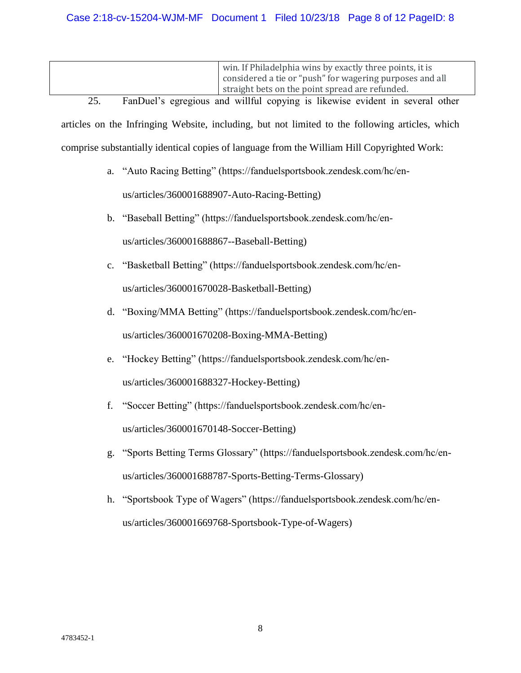| win. If Philadelphia wins by exactly three points, it is |
|----------------------------------------------------------|
| considered a tie or "push" for wagering purposes and all |
| straight bets on the point spread are refunded.          |

25. FanDuel's egregious and willful copying is likewise evident in several other articles on the Infringing Website, including, but not limited to the following articles, which comprise substantially identical copies of language from the William Hill Copyrighted Work:

a. "Auto Racing Betting" (https://fanduelsportsbook.zendesk.com/hc/en-

us/articles/360001688907-Auto-Racing-Betting)

- b. "Baseball Betting" (https://fanduelsportsbook.zendesk.com/hc/enus/articles/360001688867--Baseball-Betting)
- c. "Basketball Betting" (https://fanduelsportsbook.zendesk.com/hc/enus/articles/360001670028-Basketball-Betting)
- d. "Boxing/MMA Betting" (https://fanduelsportsbook.zendesk.com/hc/enus/articles/360001670208-Boxing-MMA-Betting)
- e. "Hockey Betting" (https://fanduelsportsbook.zendesk.com/hc/enus/articles/360001688327-Hockey-Betting)
- f. "Soccer Betting" (https://fanduelsportsbook.zendesk.com/hc/enus/articles/360001670148-Soccer-Betting)
- g. "Sports Betting Terms Glossary" (https://fanduelsportsbook.zendesk.com/hc/enus/articles/360001688787-Sports-Betting-Terms-Glossary)
- h. "Sportsbook Type of Wagers" (https://fanduelsportsbook.zendesk.com/hc/enus/articles/360001669768-Sportsbook-Type-of-Wagers)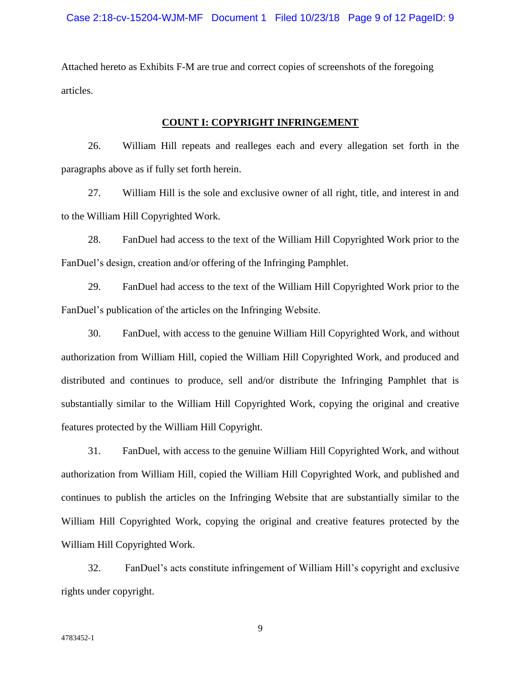Attached hereto as Exhibits F-M are true and correct copies of screenshots of the foregoing articles.

#### **COUNT I: COPYRIGHT INFRINGEMENT**

26. William Hill repeats and realleges each and every allegation set forth in the paragraphs above as if fully set forth herein.

27. William Hill is the sole and exclusive owner of all right, title, and interest in and to the William Hill Copyrighted Work.

28. FanDuel had access to the text of the William Hill Copyrighted Work prior to the FanDuel's design, creation and/or offering of the Infringing Pamphlet.

29. FanDuel had access to the text of the William Hill Copyrighted Work prior to the FanDuel's publication of the articles on the Infringing Website.

30. FanDuel, with access to the genuine William Hill Copyrighted Work, and without authorization from William Hill, copied the William Hill Copyrighted Work, and produced and distributed and continues to produce, sell and/or distribute the Infringing Pamphlet that is substantially similar to the William Hill Copyrighted Work, copying the original and creative features protected by the William Hill Copyright.

31. FanDuel, with access to the genuine William Hill Copyrighted Work, and without authorization from William Hill, copied the William Hill Copyrighted Work, and published and continues to publish the articles on the Infringing Website that are substantially similar to the William Hill Copyrighted Work, copying the original and creative features protected by the William Hill Copyrighted Work.

32. FanDuel's acts constitute infringement of William Hill's copyright and exclusive rights under copyright.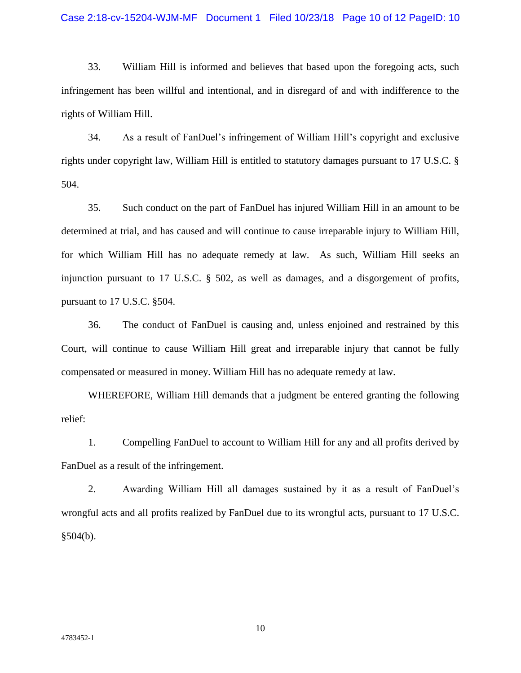33. William Hill is informed and believes that based upon the foregoing acts, such infringement has been willful and intentional, and in disregard of and with indifference to the rights of William Hill.

34. As a result of FanDuel's infringement of William Hill's copyright and exclusive rights under copyright law, William Hill is entitled to statutory damages pursuant to 17 U.S.C. § 504.

35. Such conduct on the part of FanDuel has injured William Hill in an amount to be determined at trial, and has caused and will continue to cause irreparable injury to William Hill, for which William Hill has no adequate remedy at law. As such, William Hill seeks an injunction pursuant to 17 U.S.C. § 502, as well as damages, and a disgorgement of profits, pursuant to 17 U.S.C. §504.

36. The conduct of FanDuel is causing and, unless enjoined and restrained by this Court, will continue to cause William Hill great and irreparable injury that cannot be fully compensated or measured in money. William Hill has no adequate remedy at law.

WHEREFORE, William Hill demands that a judgment be entered granting the following relief:

1. Compelling FanDuel to account to William Hill for any and all profits derived by FanDuel as a result of the infringement.

2. Awarding William Hill all damages sustained by it as a result of FanDuel's wrongful acts and all profits realized by FanDuel due to its wrongful acts, pursuant to 17 U.S.C.  $§504(b).$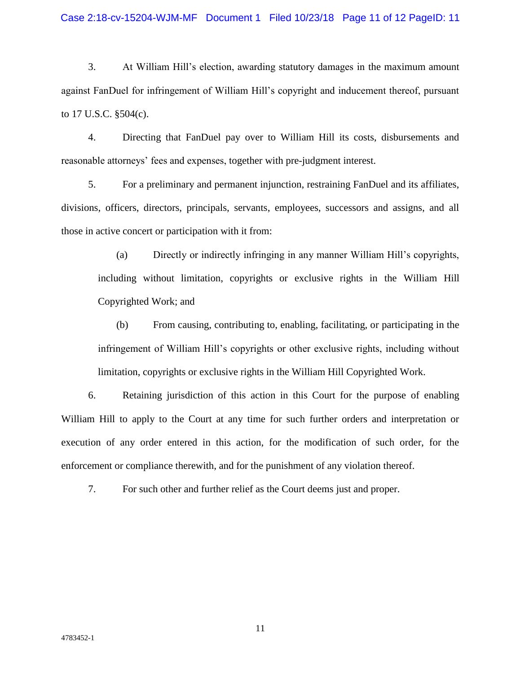#### Case 2:18-cv-15204-WJM-MF Document 1 Filed 10/23/18 Page 11 of 12 PageID: 11

3. At William Hill's election, awarding statutory damages in the maximum amount against FanDuel for infringement of William Hill's copyright and inducement thereof, pursuant to 17 U.S.C. §504(c).

4. Directing that FanDuel pay over to William Hill its costs, disbursements and reasonable attorneys' fees and expenses, together with pre-judgment interest.

5. For a preliminary and permanent injunction, restraining FanDuel and its affiliates, divisions, officers, directors, principals, servants, employees, successors and assigns, and all those in active concert or participation with it from:

(a) Directly or indirectly infringing in any manner William Hill's copyrights, including without limitation, copyrights or exclusive rights in the William Hill Copyrighted Work; and

(b) From causing, contributing to, enabling, facilitating, or participating in the infringement of William Hill's copyrights or other exclusive rights, including without limitation, copyrights or exclusive rights in the William Hill Copyrighted Work.

6. Retaining jurisdiction of this action in this Court for the purpose of enabling William Hill to apply to the Court at any time for such further orders and interpretation or execution of any order entered in this action, for the modification of such order, for the enforcement or compliance therewith, and for the punishment of any violation thereof.

7. For such other and further relief as the Court deems just and proper.